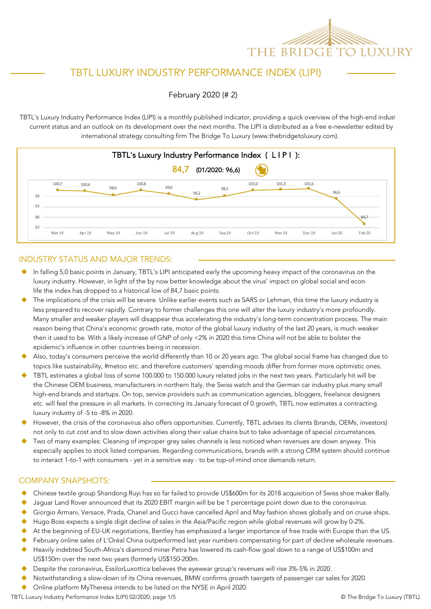

# TBTL LUXURY INDUSTRY PERFORMANCE INDEX (LIPI)

February 2020 (# 2)

TBTL's Luxury Industry Performance Index (LIPI) is a monthly published indicator, providing a quick overview of the high-end indust current status and an outlook on its development over the next months. The LIPI is distributed as a free e-newsletter edited by international strategy consulting firm The Bridge To Luxury (www.thebridgetoluxury.com).



### INDUSTRY STATUS AND MAJOR TRENDS:

- $\bullet$  In falling 5,0 basic points in January, TBTL's LIPI anticipated early the upcoming heavy impact of the coronavirus on the luxury industry. However, in light of the by now better knowledge about the virus' impact on global social and econo life the index has dropped to a historical low of 84,7 basic points.
- The implications of the crisis will be severe. Unlike earlier events such as SARS or Lehman, this time the luxury industry is less prepared to recover rapidly. Contrary to former challenges this one will alter the luxury industry's more profoundly. Many smaller and weaker players will disappear thus accelerating the industry's long-term concentration process. The main reason being that China's economic growth rate, motor of the global luxury industry of the last 20 years, is much weaker then it used to be. With a likely increase of GNP of only <2% in 2020 this time China will not be able to bolster the epidemic's influence in other countries being in recession.
- Also, today's consumers perceive the world differently than 10 or 20 years ago. The global social frame has changed due to topics like sustainability, #metoo etc. and therefore customers' spending moods differ from former more optimistic ones.
- TBTL estimates a global loss of some 100.000 to 150.000 luxury related jobs in the next two years. Particularly hit will be the Chinese OEM business, manufacturers in northern Italy, the Swiss watch and the German car industry plus many small high-end brands and startups. On top, service providers such as communication agencies, bloggers, freelance designers etc. will feel the pressure in all markets. In correcting its January forecast of 0 growth, TBTL now estimates a contracting luxury industry of -5 to -8% in 2020.
- However, the crisis of the coronavirus also offers opportunities. Currently, TBTL advises its clients (brands, OEMs, investors) not only to cut cost and to slow down activities along their value chains but to take advantage of special circumstances.
- Two of many examples: Cleaning of improper grey sales channels is less noticed when revenues are down anyway. This especially applies to stock listed companies. Regarding communications, brands with a strong CRM system should continue to interact 1-to-1 with consumers - yet in a sensitive way - to be top-of-mind once demands return.

### COMPANY SNAPSHOTS:

- ◆ Chinese textile group Shandong Ruyi has so far failed to provide US\$600m for its 2018 acquisition of Swiss shoe maker Bally.
- Jaguar Land Rover announced that its 2020 EBIT margin will be be 1 percentage point down due to the coronavirus.
- Giorgio Armani, Versace, Prada, Chanel and Gucci have cancelled April and May fashion shows globally and on cruise ships.
- Hugo Boss expects a single digit decline of sales in the Asia/Pacific region while global revenues will grow by 0-2%.
- At the beginning of EU-UK negotiations, Bentley has emphasized a larger importance of free trade with Europe than the US.
- February online sales of L'Oréal China outperformed last year numbers compensating for part of decline wholesale revenues.
- Heavily indebted South-Africa's diamond miner Petra has lowered its cash-flow goal down to a range of US\$100m and US\$150m over the next two years (formerly US\$150-200m.
- Despite the coronavirus, EssilorLuxottica believes the eyewear group's revenues will rise 3%-5% in 2020.
- Notwithstanding a slow-down of its China revenues, BMW confirms growth taergets of passenger car sales for 2020.
- Online platform MyTheresa intends to be listed on the NYSE in April 2020.

TBTL Luxury Industry Performance Index (LIPI) 02/2020, page 1/5 **Canadian Contract Contract Contract Contract Contract Contract Contract Contract Contract Contract Contract Contract Contract Contract Contract Contract Cont**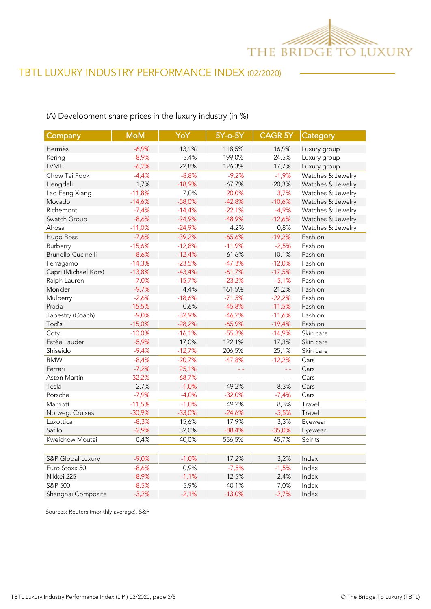

## (A) Development share prices in the luxury industry (in %)

| Company              | <b>MoM</b> | YoY      | 5Y-o-5Y  | <b>CAGR 5Y</b> | Category          |
|----------------------|------------|----------|----------|----------------|-------------------|
| Hermès               | $-6,9%$    | 13,1%    | 118,5%   | 16,9%          | Luxury group      |
| Kering               | $-8,9%$    | 5,4%     | 199,0%   | 24,5%          | Luxury group      |
| <b>LVMH</b>          | $-6,2%$    | 22,8%    | 126,3%   | 17,7%          | Luxury group      |
| Chow Tai Fook        | $-4,4%$    | $-8,8%$  | $-9,2%$  | $-1,9%$        | Watches & Jewelry |
| Hengdeli             | 1,7%       | $-18,9%$ | $-67,7%$ | $-20,3%$       | Watches & Jewelry |
| Lao Feng Xiang       | $-11,8%$   | 7,0%     | 20,0%    | 3,7%           | Watches & Jewelry |
| Movado               | $-14,6%$   | $-58,0%$ | $-42,8%$ | $-10,6%$       | Watches & Jewelry |
| Richemont            | $-7,4%$    | $-14,4%$ | $-22,1%$ | $-4,9%$        | Watches & Jewelry |
| Swatch Group         | $-8,6%$    | $-24,9%$ | $-48,9%$ | $-12,6%$       | Watches & Jewelry |
| Alrosa               | $-11,0%$   | $-24,9%$ | 4,2%     | 0,8%           | Watches & Jewelry |
| Hugo Boss            | $-7,6%$    | $-39,2%$ | $-65,6%$ | $-19,2%$       | Fashion           |
| Burberry             | $-15,6%$   | $-12,8%$ | $-11,9%$ | $-2,5%$        | Fashion           |
| Brunello Cucinelli   | $-8,6%$    | $-12,4%$ | 61,6%    | 10,1%          | Fashion           |
| Ferragamo            | $-14,3%$   | $-23,5%$ | $-47,3%$ | $-12,0%$       | Fashion           |
| Capri (Michael Kors) | $-13,8%$   | $-43,4%$ | $-61,7%$ | $-17,5%$       | Fashion           |
| Ralph Lauren         | $-7,0%$    | $-15,7%$ | $-23,2%$ | $-5,1%$        | Fashion           |
| Moncler              | $-9,7%$    | 4,4%     | 161,5%   | 21,2%          | Fashion           |
| Mulberry             | $-2,6%$    | $-18,6%$ | $-71,5%$ | $-22,2%$       | Fashion           |
| Prada                | $-15,5%$   | 0,6%     | $-45,8%$ | $-11,5%$       | Fashion           |
| Tapestry (Coach)     | $-9,0%$    | $-32,9%$ | $-46,2%$ | $-11,6%$       | Fashion           |
| Tod's                | $-15,0%$   | $-28,2%$ | $-65,9%$ | $-19,4%$       | Fashion           |
| Coty                 | $-10,0%$   | $-16,1%$ | $-55,3%$ | $-14,9%$       | Skin care         |
| Estée Lauder         | $-5,9%$    | 17,0%    | 122,1%   | 17,3%          | Skin care         |
| Shiseido             | $-9,4%$    | $-12,7%$ | 206,5%   | 25,1%          | Skin care         |
| <b>BMW</b>           | $-8,4%$    | $-20,7%$ | $-47,8%$ | $-12,2%$       | Cars              |
| Ferrari              | $-7,2%$    | 25,1%    |          | L L            | Cars              |
| Aston Martin         | $-32,2%$   | $-68,7%$ | $ -$     | $\overline{a}$ | Cars              |
| Tesla                | 2,7%       | $-1,0%$  | 49,2%    | 8,3%           | Cars              |
| Porsche              | $-7,9%$    | $-4,0%$  | $-32,0%$ | $-7,4%$        | Cars              |
| Marriott             | $-11,5%$   | $-1,0%$  | 49,2%    | 8,3%           | Travel            |
| Norweg. Cruises      | $-30,9%$   | $-33,0%$ | $-24,6%$ | $-5,5%$        | Travel            |
| Luxottica            | $-8,3%$    | 15,6%    | 17,9%    | 3,3%           | Eyewear           |
| Safilo               | $-2,9%$    | 32,0%    | $-88,4%$ | $-35,0%$       | Eyewear           |
| Kweichow Moutai      | 0,4%       | 40,0%    | 556,5%   | 45,7%          | Spirits           |
|                      |            |          |          |                |                   |
| S&P Global Luxury    | $-9,0%$    | $-1,0%$  | 17,2%    | 3,2%           | Index             |
| Euro Stoxx 50        | $-8,6%$    | 0,9%     | $-7,5%$  | $-1,5%$        | Index             |
| Nikkei 225           | $-8,9%$    | $-1,1%$  | 12,5%    | 2,4%           | Index             |
| S&P 500              | $-8,5%$    | 5,9%     | 40,1%    | 7,0%           | Index             |
| Shanghai Composite   | $-3,2%$    | $-2,1%$  | $-13,0%$ | $-2,7%$        | Index             |

Sources: Reuters (monthly average), S&P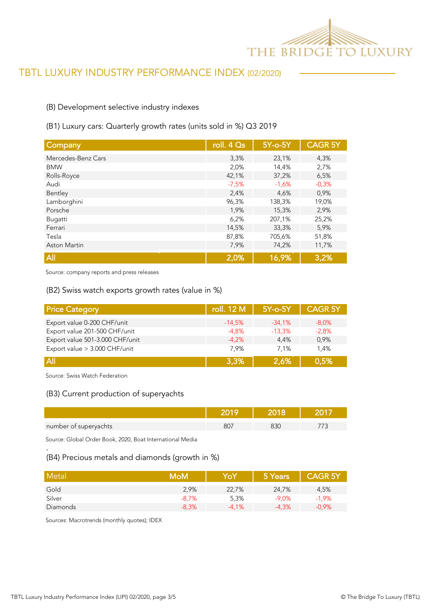

## (B) Development selective industry indexes

### (B1) Luxury cars: Quarterly growth rates (units sold in %) Q3 2019

| Company             | roll. 4 Qs | 5Y-o-5Y | <b>CAGR 5Y</b> |
|---------------------|------------|---------|----------------|
| Mercedes-Benz Cars  | 3,3%       | 23,1%   | 4,3%           |
| <b>BMW</b>          | 2,0%       | 14,4%   | 2,7%           |
| Rolls-Royce         | 42,1%      | 37,2%   | 6,5%           |
| Audi                | $-7,5%$    | $-1,6%$ | $-0,3%$        |
| Bentley             | 2,4%       | 4,6%    | 0,9%           |
| Lamborghini         | 96,3%      | 138,3%  | 19,0%          |
| Porsche             | 1,9%       | 15,3%   | 2,9%           |
| Bugatti             | 6,2%       | 207,1%  | 25,2%          |
| Ferrari             | 14,5%      | 33,3%   | 5,9%           |
| Tesla               | 87,8%      | 705,6%  | 51,8%          |
| <b>Aston Martin</b> | 7,9%       | 74,2%   | 11,7%          |
| All                 | 2,0%       | 16,9%   | 3,2%           |

Source: company reports and press releases

#### (B2) Swiss watch exports growth rates (value in %)

| <b>Price Category</b>           | roll. 12 M | $5Y$ -o- $5Y$ | <b>CAGR 5Y</b> |
|---------------------------------|------------|---------------|----------------|
| Export value 0-200 CHF/unit     | $-14.5%$   | $-34.1%$      | $-8.0\%$       |
| Export value 201-500 CHF/unit   | $-4.8%$    | $-13.3%$      | $-2,8%$        |
| Export value 501-3.000 CHF/unit | $-4.2%$    | 4.4%          | 0.9%           |
| Export value > 3.000 CHF/unit   | 7.9%       | 7.1%          | 1.4%           |
| $\overline{A}$                  | 3.3%       | 2,6%          | 0.5%           |

Source: Swiss Watch Federation

'

### (B3) Current production of superyachts

| number of superyachts | $\circ$ $\circ$<br>วบ | 51. |  |
|-----------------------|-----------------------|-----|--|

Source: Global Order Book, 2020, Boat International Media

## (B4) Precious metals and diamonds (growth in %)

| Metal    | <b>MoM</b> | YoY     | 5 Years | <b>CAGR 5Y</b> |
|----------|------------|---------|---------|----------------|
| Gold     | 2,9%       | 22,7%   | 24,7%   | 4,5%           |
| Silver   | $-8,7%$    | 5,3%    | $-9.0%$ | $-1,9%$        |
| Diamonds | $-8,3%$    | $-4.1%$ | $-4.3%$ | $-0.9%$        |

Sources: Macrotrends (monthly quotes); IDEX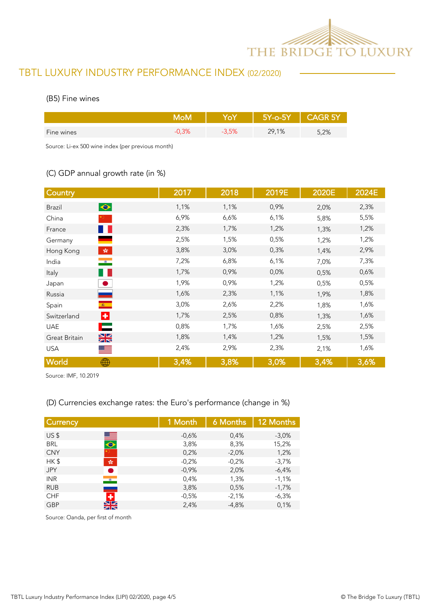

### (B5) Fine wines

|            |    | $5Y$ -o- $5Y$ | GK 51 |
|------------|----|---------------|-------|
| Fine wines | 5% | 29,1%         | 5,2%  |

Source: Li-ex 500 wine index (per previous month)

## (C) GDP annual growth rate (in %)

| Country                                  | 2017 | 2018 | 2019E | 2020E | 2024E |
|------------------------------------------|------|------|-------|-------|-------|
| $\bullet$<br><b>Brazil</b>               | 1,1% | 1,1% | 0,9%  | 2,0%  | 2,3%  |
| China                                    | 6,9% | 6,6% | 6,1%  | 5,8%  | 5,5%  |
| <b>STATE</b><br>France                   | 2,3% | 1,7% | 1,2%  | 1,3%  | 1,2%  |
| Germany                                  | 2,5% | 1,5% | 0,5%  | 1,2%  | 1,2%  |
| $\mathcal{L}_{\mathcal{R}}$<br>Hong Kong | 3,8% | 3,0% | 0,3%  | 1,4%  | 2,9%  |
| $\bullet$<br>India                       | 7,2% | 6,8% | 6,1%  | 7,0%  | 7,3%  |
| w<br>Italy                               | 1,7% | 0,9% | 0,0%  | 0,5%  | 0,6%  |
| Japan                                    | 1,9% | 0,9% | 1,2%  | 0,5%  | 0,5%  |
| Russia                                   | 1,6% | 2,3% | 1,1%  | 1,9%  | 1,8%  |
| $\mathcal{R}$ .<br>Spain                 | 3,0% | 2,6% | 2,2%  | 1,8%  | 1,6%  |
| ÷<br>Switzerland                         | 1,7% | 2,5% | 0,8%  | 1,3%  | 1,6%  |
| ⊏<br><b>UAE</b>                          | 0,8% | 1,7% | 1,6%  | 2,5%  | 2,5%  |
| $\frac{N}{N}$<br>Great Britain           | 1,8% | 1,4% | 1,2%  | 1,5%  | 1,5%  |
| <b>USA</b><br>$=$                        | 2,4% | 2,9% | 2,3%  | 2,1%  | 1,6%  |
| World<br>∰                               | 3,4% | 3,8% | 3,0%  | 3,4%  | 3,6%  |

Source: IMF, 10.2019

## (D) Currencies exchange rates: the Euro's performance (change in %)

| <b>Currency</b> |                              | 1 Month | 6 Months | 12 Months |
|-----------------|------------------------------|---------|----------|-----------|
| US <sub>5</sub> |                              | $-0,6%$ | 0,4%     | $-3.0%$   |
| <b>BRL</b>      | $\blacksquare$               | 3,8%    | 8,3%     | 15,2%     |
| <b>CNY</b>      |                              | 0,2%    | $-2,0%$  | 1,2%      |
| HK\$            | $\frac{\sqrt{3}}{2\sqrt{3}}$ | $-0,2%$ | $-0.2%$  | $-3,7%$   |
| <b>JPY</b>      |                              | $-0,9%$ | 2,0%     | $-6,4%$   |
| <b>INR</b>      | $\bullet$                    | 0,4%    | 1,3%     | $-1,1%$   |
| <b>RUB</b>      |                              | 3,8%    | 0,5%     | $-1,7%$   |
| <b>CHF</b>      |                              | $-0.5%$ | $-2,1%$  | $-6,3%$   |
| <b>GBP</b>      | NZ.<br>ZN                    | 2,4%    | $-4,8%$  | 0,1%      |
|                 |                              |         |          |           |

Source: Oanda, per first of month